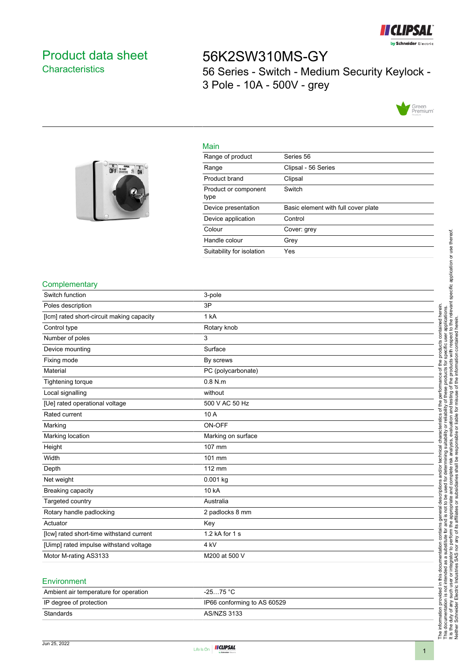

### <span id="page-0-0"></span>Product data sheet **Characteristics**

 $\begin{array}{|c|c|c|}\n\hline\n0 & \text{const} & \text{m} \\
\hline\n0 & \text{m} & \text{m} \\
\hline\n\end{array}$ 

# 56K2SW310MS-GY 56 Series - Switch - Medium Security Keylock - 3 Pole - 10A - 500V - grey



## Main

| Range of product             | Series 56                           |
|------------------------------|-------------------------------------|
| Range                        | Clipsal - 56 Series                 |
| Product brand                | Clipsal                             |
| Product or component<br>type | Switch                              |
| Device presentation          | Basic element with full cover plate |
| Device application           | Control                             |
| Colour                       | Cover: grey                         |
| Handle colour                | Grey                                |
| Suitability for isolation    | Yes                                 |

#### **Complementary**

| Switch function                           | 3-pole             |
|-------------------------------------------|--------------------|
| Poles description                         | 3P                 |
| [lcm] rated short-circuit making capacity | 1 kA               |
| Control type                              | Rotary knob        |
| Number of poles                           | 3                  |
| Device mounting                           | Surface            |
| Fixing mode                               | By screws          |
| Material                                  | PC (polycarbonate) |
| Tightening torque                         | $0.8$ N.m          |
| Local signalling                          | without            |
| [Ue] rated operational voltage            | 500 V AC 50 Hz     |
| Rated current                             | 10 A               |
| Marking                                   | ON-OFF             |
| Marking location                          | Marking on surface |
| Height                                    | 107 mm             |
| Width                                     | 101 mm             |
| Depth                                     | 112 mm             |
| Net weight                                | 0.001 kg           |
| Breaking capacity                         | 10 kA              |
| Targeted country                          | Australia          |
| Rotary handle padlocking                  | 2 padlocks 8 mm    |
| Actuator                                  | Key                |
| [lcw] rated short-time withstand current  | 1.2 kA for 1 s     |
| [Uimp] rated impulse withstand voltage    | 4 <sub>kV</sub>    |
| Motor M-rating AS3133                     | M200 at 500 V      |
|                                           |                    |

#### Environment

| $-2575 °C$                  |
|-----------------------------|
| IP66 conforming to AS 60529 |
| AS/NZS 3133                 |
|                             |



Neither Schneider Electric Industries SAS nor any of its affiliates or subsidiaries shall be responsible or liable for misuse of the information contained herein.